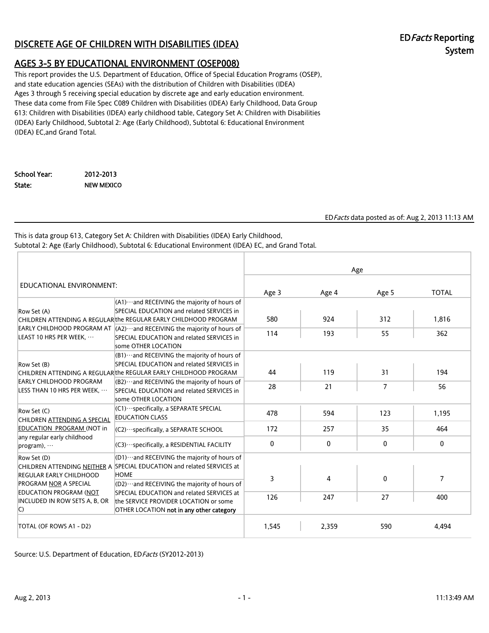# DISCRETE AGE OF CHILDREN WITH DISABILITIES (IDEA) EDFacts Reporting

# System

# AGES 3-5 BY EDUCATIONAL ENVIRONMENT (OSEP008)

This report provides the U.S. Department of Education, Office of Special Education Programs (OSEP), and state education agencies (SEAs) with the distribution of Children with Disabilities (IDEA) Ages 3 through 5 receiving special education by discrete age and early education environment. These data come from File Spec C089 Children with Disabilities (IDEA) Early Childhood, Data Group 613: Children with Disabilities (IDEA) early childhood table, Category Set A: Children with Disabilities (IDEA) Early Childhood, Subtotal 2: Age (Early Childhood), Subtotal 6: Educational Environment (IDEA) EC,and Grand Total.

School Year: 2012-2013 State: NEW MEXICO

EDFacts data posted as of: Aug 2, 2013 11:13 AM

This is data group 613, Category Set A: Children with Disabilities (IDEA) Early Childhood, Subtotal 2: Age (Early Childhood), Subtotal 6: Educational Environment (IDEA) EC, and Grand Total.

|                                                               |                                                                                                                                                                                                                                                                                                                      |              | Age          |              |                |
|---------------------------------------------------------------|----------------------------------------------------------------------------------------------------------------------------------------------------------------------------------------------------------------------------------------------------------------------------------------------------------------------|--------------|--------------|--------------|----------------|
| EDUCATIONAL ENVIRONMENT:                                      |                                                                                                                                                                                                                                                                                                                      | Age 3        | Age 4        | Age 5        | <b>TOTAL</b>   |
| Row Set (A)<br>LEAST 10 HRS PER WEEK,                         | $(A1)$ and RECEIVING the majority of hours of<br>SPECIAL EDUCATION and related SERVICES in<br>CHILDREN ATTENDING A REGULARthe REGULAR EARLY CHILDHOOD PROGRAM<br>EARLY CHILDHOOD PROGRAM AT $(A2) \cdots$ and RECEIVING the majority of hours of<br>SPECIAL EDUCATION and related SERVICES in<br>some OTHER LOCATION | 580<br>114   | 924<br>193   | 312<br>55    | 1.816<br>362   |
| Row Set (B)                                                   | $(B1)$ and RECEIVING the majority of hours of<br>SPECIAL EDUCATION and related SERVICES in<br>CHILDREN ATTENDING A REGULAR the REGULAR EARLY CHILDHOOD PROGRAM                                                                                                                                                       | 44           | 119          | 31           | 194            |
| EARLY CHILDHOOD PROGRAM<br>LESS THAN 10 HRS PER WEEK,         | $(B2)$ and RECEIVING the majority of hours of<br>SPECIAL EDUCATION and related SERVICES in<br>some OTHER LOCATION                                                                                                                                                                                                    | 28           | 21           | 7            | 56             |
| Row Set (C)<br>CHILDREN ATTENDING A SPECIAL                   | (C1) · · · specifically, a SEPARATE SPECIAL<br><b>EDUCATION CLASS</b>                                                                                                                                                                                                                                                | 478          | 594          | 123          | 1.195          |
| EDUCATION PROGRAM (NOT in                                     | (C2) ··· specifically, a SEPARATE SCHOOL                                                                                                                                                                                                                                                                             | 172          | 257          | 35           | 464            |
| any regular early childhood<br>$program)$ , $\cdots$          | (C3) · ·· specifically, a RESIDENTIAL FACILITY                                                                                                                                                                                                                                                                       | $\mathbf{0}$ | $\mathbf{0}$ | $\mathbf{0}$ | $\mathbf{0}$   |
| Row Set (D)<br>REGULAR EARLY CHILDHOOD                        | $[01)$ and RECEIVING the majority of hours of<br>CHILDREN ATTENDING NEITHER A SPECIAL EDUCATION and related SERVICES at<br><b>HOME</b>                                                                                                                                                                               | 3            | 4            | $\Omega$     | $\overline{7}$ |
| <b>PROGRAM NOR A SPECIAL</b>                                  | (D2)  and RECEIVING the majority of hours of                                                                                                                                                                                                                                                                         |              |              |              |                |
| EDUCATION PROGRAM (NOT<br>INCLUDED IN ROW SETS A, B, OR<br>C) | SPECIAL EDUCATION and related SERVICES at<br>the SERVICE PROVIDER LOCATION or some<br>OTHER LOCATION not in any other category                                                                                                                                                                                       | 126          | 247          | 27           | 400            |
| TOTAL (OF ROWS A1 - D2)                                       |                                                                                                                                                                                                                                                                                                                      | 1,545        | 2,359        | 590          | 4,494          |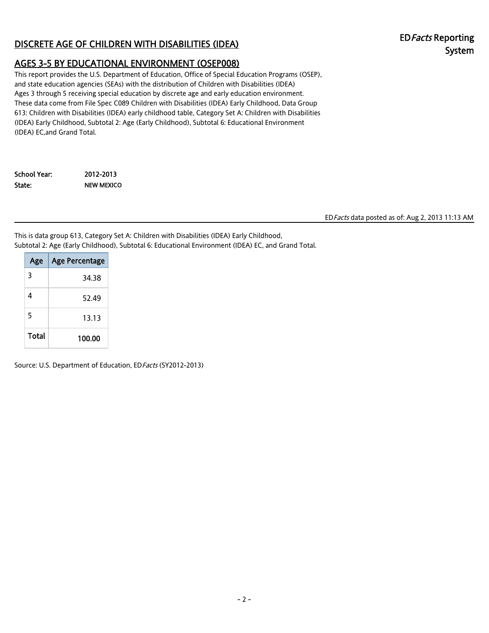# DISCRETE AGE OF CHILDREN WITH DISABILITIES (IDEA) EDFacts Reporting

# System

# AGES 3-5 BY EDUCATIONAL ENVIRONMENT (OSEP008)

This report provides the U.S. Department of Education, Office of Special Education Programs (OSEP), and state education agencies (SEAs) with the distribution of Children with Disabilities (IDEA) Ages 3 through 5 receiving special education by discrete age and early education environment. These data come from File Spec C089 Children with Disabilities (IDEA) Early Childhood, Data Group 613: Children with Disabilities (IDEA) early childhood table, Category Set A: Children with Disabilities (IDEA) Early Childhood, Subtotal 2: Age (Early Childhood), Subtotal 6: Educational Environment (IDEA) EC,and Grand Total.

| School Year: | 2012-2013  |
|--------------|------------|
| State:       | NEW MEXICO |

EDFacts data posted as of: Aug 2, 2013 11:13 AM

This is data group 613, Category Set A: Children with Disabilities (IDEA) Early Childhood, Subtotal 2: Age (Early Childhood), Subtotal 6: Educational Environment (IDEA) EC, and Grand Total.

| Age   | <b>Age Percentage</b> |
|-------|-----------------------|
| 3     | 34.38                 |
| 4     | 52.49                 |
| 5     | 13.13                 |
| Total | 100.00                |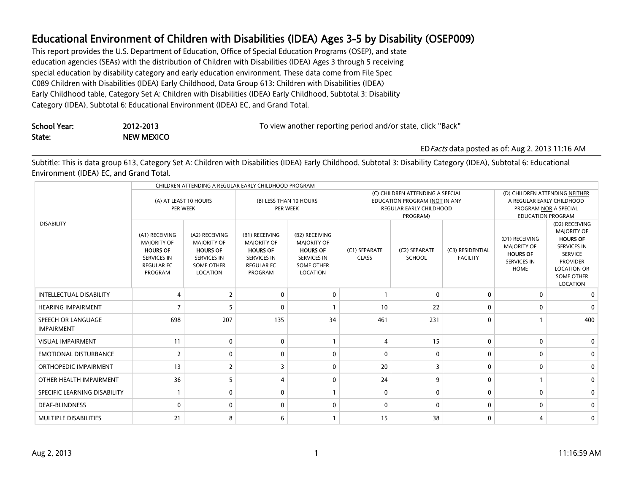This report provides the U.S. Department of Education, Office of Special Education Programs (OSEP), and state education agencies (SEAs) with the distribution of Children with Disabilities (IDEA) Ages 3 through 5 receiving special education by disability category and early education environment. These data come from File Spec C089 Children with Disabilities (IDEA) Early Childhood, Data Group 613: Children with Disabilities (IDEA) Early Childhood table, Category Set A: Children with Disabilities (IDEA) Early Childhood, Subtotal 3: Disability Category (IDEA), Subtotal 6: Educational Environment (IDEA) EC, and Grand Total.

| School Year: | 2012-2013  | To view another reporting period and/or state, click "Back" |
|--------------|------------|-------------------------------------------------------------|
| State:       | NEW MEXICO |                                                             |

EDFacts data posted as of: Aug 2, 2013 11:16 AM

Subtitle: This is data group 613, Category Set A: Children with Disabilities (IDEA) Early Childhood, Subtotal 3: Disability Category (IDEA), Subtotal 6: Educational Environment (IDEA) EC, and Grand Total.

|                                         |                                                                                                               |                                                                                                                | CHILDREN ATTENDING A REGULAR EARLY CHILDHOOD PROGRAM                                                          |                                                                                                                |                                                                                                                 |                                |                                     |                                                                                                                  |                                                                                                                                                                           |
|-----------------------------------------|---------------------------------------------------------------------------------------------------------------|----------------------------------------------------------------------------------------------------------------|---------------------------------------------------------------------------------------------------------------|----------------------------------------------------------------------------------------------------------------|-----------------------------------------------------------------------------------------------------------------|--------------------------------|-------------------------------------|------------------------------------------------------------------------------------------------------------------|---------------------------------------------------------------------------------------------------------------------------------------------------------------------------|
|                                         | (A) AT LEAST 10 HOURS<br>PER WEEK                                                                             |                                                                                                                | (B) LESS THAN 10 HOURS<br>PER WEEK                                                                            |                                                                                                                | (C) CHILDREN ATTENDING A SPECIAL<br>EDUCATION PROGRAM (NOT IN ANY<br><b>REGULAR EARLY CHILDHOOD</b><br>PROGRAM) |                                |                                     | (D) CHILDREN ATTENDING NEITHER<br>A REGULAR EARLY CHILDHOOD<br>PROGRAM NOR A SPECIAL<br><b>EDUCATION PROGRAM</b> |                                                                                                                                                                           |
| <b>DISABILITY</b>                       | (A1) RECEIVING<br><b>MAJORITY OF</b><br><b>HOURS OF</b><br><b>SERVICES IN</b><br><b>REGULAR EC</b><br>PROGRAM | (A2) RECEIVING<br><b>MAJORITY OF</b><br><b>HOURS OF</b><br><b>SERVICES IN</b><br><b>SOME OTHER</b><br>LOCATION | (B1) RECEIVING<br><b>MAJORITY OF</b><br><b>HOURS OF</b><br><b>SERVICES IN</b><br><b>REGULAR EC</b><br>PROGRAM | (B2) RECEIVING<br><b>MAJORITY OF</b><br><b>HOURS OF</b><br><b>SERVICES IN</b><br><b>SOME OTHER</b><br>LOCATION | (C1) SEPARATE<br><b>CLASS</b>                                                                                   | (C2) SEPARATE<br><b>SCHOOL</b> | (C3) RESIDENTIAL<br><b>FACILITY</b> | (D1) RECEIVING<br><b>MAJORITY OF</b><br><b>HOURS OF</b><br><b>SERVICES IN</b><br>HOME                            | (D2) RECEIVING<br><b>MAJORITY OF</b><br><b>HOURS OF</b><br><b>SERVICES IN</b><br><b>SERVICE</b><br><b>PROVIDER</b><br><b>LOCATION OR</b><br><b>SOME OTHER</b><br>LOCATION |
| <b>INTELLECTUAL DISABILITY</b>          | Δ                                                                                                             | $\overline{2}$                                                                                                 | $\mathbf 0$                                                                                                   | $\mathbf{0}$                                                                                                   | $\mathbf{1}$                                                                                                    | $\Omega$                       | $\mathbf 0$                         | $\mathbf{0}$                                                                                                     | 0                                                                                                                                                                         |
| <b>HEARING IMPAIRMENT</b>               |                                                                                                               | 5                                                                                                              | $\mathbf{0}$                                                                                                  |                                                                                                                | 10                                                                                                              | 22                             | 0                                   | $\mathbf{0}$                                                                                                     | 0                                                                                                                                                                         |
| SPEECH OR LANGUAGE<br><b>IMPAIRMENT</b> | 698                                                                                                           | 207                                                                                                            | 135                                                                                                           | 34                                                                                                             | 461                                                                                                             | 231                            | $\mathbf{0}$                        |                                                                                                                  | 400                                                                                                                                                                       |
| <b>VISUAL IMPAIRMENT</b>                | 11                                                                                                            | $\mathbf{0}$                                                                                                   | $\mathbf{0}$                                                                                                  |                                                                                                                | $\overline{4}$                                                                                                  | 15                             | 0                                   | $\Omega$                                                                                                         | $\mathbf{0}$                                                                                                                                                              |
| <b>EMOTIONAL DISTURBANCE</b>            |                                                                                                               | $\mathbf{0}$                                                                                                   | $\mathbf{0}$                                                                                                  | $\Omega$                                                                                                       | $\Omega$                                                                                                        | $\Omega$                       | 0                                   | $\Omega$                                                                                                         | $\mathbf{0}$                                                                                                                                                              |
| ORTHOPEDIC IMPAIRMENT                   | 13                                                                                                            | $\overline{2}$                                                                                                 | 3                                                                                                             | $\Omega$                                                                                                       | 20                                                                                                              | 3                              | $\mathbf 0$                         | $\Omega$                                                                                                         | 0                                                                                                                                                                         |
| OTHER HEALTH IMPAIRMENT                 | 36                                                                                                            | 5                                                                                                              | 4                                                                                                             | $\mathbf{0}$                                                                                                   | 24                                                                                                              | 9                              | $\mathbf 0$                         |                                                                                                                  | $\mathbf{0}$                                                                                                                                                              |
| SPECIFIC LEARNING DISABILITY            |                                                                                                               | 0                                                                                                              | $\mathbf 0$                                                                                                   |                                                                                                                | 0                                                                                                               | $\mathbf{0}$                   | $\mathbf 0$                         | $\mathbf{0}$                                                                                                     | 0                                                                                                                                                                         |
| <b>DEAF-BLINDNESS</b>                   | $\Omega$                                                                                                      | 0                                                                                                              | $\mathbf 0$                                                                                                   | $\mathbf{0}$                                                                                                   | $\mathbf{0}$                                                                                                    | $\Omega$                       | $\mathbf 0$                         | $\Omega$                                                                                                         | $\mathbf{0}$                                                                                                                                                              |
| <b>MULTIPLE DISABILITIES</b>            | 21                                                                                                            | 8                                                                                                              | 6                                                                                                             |                                                                                                                | 15                                                                                                              | 38                             | $\mathbf 0$                         |                                                                                                                  | 0                                                                                                                                                                         |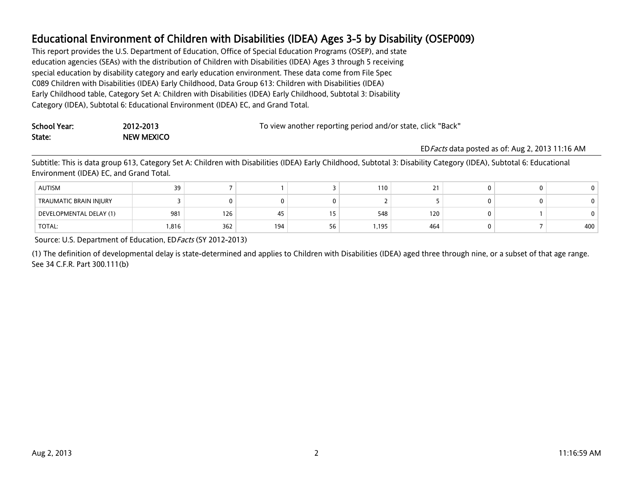This report provides the U.S. Department of Education, Office of Special Education Programs (OSEP), and state education agencies (SEAs) with the distribution of Children with Disabilities (IDEA) Ages 3 through 5 receiving special education by disability category and early education environment. These data come from File Spec C089 Children with Disabilities (IDEA) Early Childhood, Data Group 613: Children with Disabilities (IDEA) Early Childhood table, Category Set A: Children with Disabilities (IDEA) Early Childhood, Subtotal 3: Disability Category (IDEA), Subtotal 6: Educational Environment (IDEA) EC, and Grand Total.

| School Year: | 2012-2013         | To view another reporting period and/or state, click "Back" |
|--------------|-------------------|-------------------------------------------------------------|
| State:       | <b>NEW MEXICO</b> |                                                             |
|              |                   | ED Eacts data post                                          |

EDFacts data posted as of: Aug 2, 2013 11:16 AM

Subtitle: This is data group 613, Category Set A: Children with Disabilities (IDEA) Early Childhood, Subtotal 3: Disability Category (IDEA), Subtotal 6: Educational Environment (IDEA) EC, and Grand Total.

| <b>AUTISM</b>           | 39    |     |     |     | 110   |     |  |     |
|-------------------------|-------|-----|-----|-----|-------|-----|--|-----|
| TRAUMATIC BRAIN INJURY  |       |     |     |     |       |     |  |     |
| DEVELOPMENTAL DELAY (1) | 981   | 126 | 45  | . J | 548   | 120 |  |     |
| <b>TOTAL:</b>           | 1,816 | 362 | 194 | υU  | 1,195 | 464 |  | 400 |

Source: U.S. Department of Education, EDFacts (SY 2012-2013)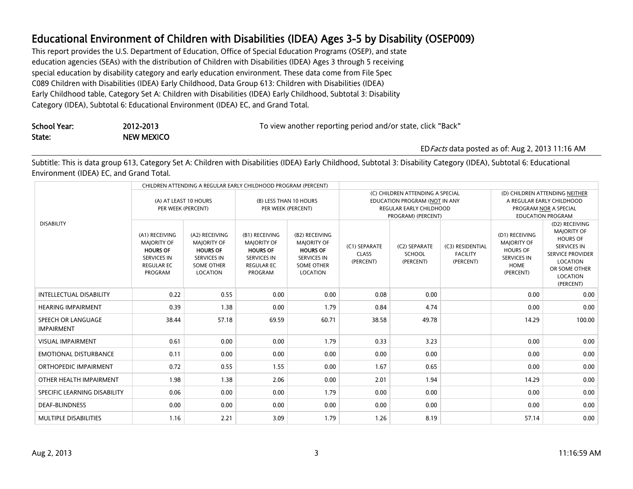This report provides the U.S. Department of Education, Office of Special Education Programs (OSEP), and state education agencies (SEAs) with the distribution of Children with Disabilities (IDEA) Ages 3 through 5 receiving special education by disability category and early education environment. These data come from File Spec C089 Children with Disabilities (IDEA) Early Childhood, Data Group 613: Children with Disabilities (IDEA) Early Childhood table, Category Set A: Children with Disabilities (IDEA) Early Childhood, Subtotal 3: Disability Category (IDEA), Subtotal 6: Educational Environment (IDEA) EC, and Grand Total.

| School Year: | 2012-2013         | To view another reporting period and/or state, click "Back" |
|--------------|-------------------|-------------------------------------------------------------|
| State:       | <b>NEW MEXICO</b> |                                                             |

#### EDFacts data posted as of: Aug 2, 2013 11:16 AM

Subtitle: This is data group 613, Category Set A: Children with Disabilities (IDEA) Early Childhood, Subtotal 3: Disability Category (IDEA), Subtotal 6: Educational Environment (IDEA) EC, and Grand Total.

|                                         | CHILDREN ATTENDING A REGULAR EARLY CHILDHOOD PROGRAM (PERCENT)                                                       |                                                                                                                |                                                                                                                      |                                                                                                                |                                                                                                                           |                                             |                                                  |                                                                                                                  |                                                                                                                                                                |
|-----------------------------------------|----------------------------------------------------------------------------------------------------------------------|----------------------------------------------------------------------------------------------------------------|----------------------------------------------------------------------------------------------------------------------|----------------------------------------------------------------------------------------------------------------|---------------------------------------------------------------------------------------------------------------------------|---------------------------------------------|--------------------------------------------------|------------------------------------------------------------------------------------------------------------------|----------------------------------------------------------------------------------------------------------------------------------------------------------------|
|                                         | (A) AT LEAST 10 HOURS<br>PER WEEK (PERCENT)                                                                          |                                                                                                                | (B) LESS THAN 10 HOURS<br>PER WEEK (PERCENT)                                                                         |                                                                                                                | (C) CHILDREN ATTENDING A SPECIAL<br>EDUCATION PROGRAM (NOT IN ANY<br><b>REGULAR EARLY CHILDHOOD</b><br>PROGRAM) (PERCENT) |                                             |                                                  | (D) CHILDREN ATTENDING NEITHER<br>A REGULAR EARLY CHILDHOOD<br>PROGRAM NOR A SPECIAL<br><b>EDUCATION PROGRAM</b> |                                                                                                                                                                |
| <b>DISABILITY</b>                       | (A1) RECEIVING<br><b>MAJORITY OF</b><br><b>HOURS OF</b><br><b>SERVICES IN</b><br><b>REGULAR EC</b><br><b>PROGRAM</b> | (A2) RECEIVING<br><b>MAJORITY OF</b><br><b>HOURS OF</b><br><b>SERVICES IN</b><br><b>SOME OTHER</b><br>LOCATION | (B1) RECEIVING<br><b>MAJORITY OF</b><br><b>HOURS OF</b><br><b>SERVICES IN</b><br><b>REGULAR EC</b><br><b>PROGRAM</b> | (B2) RECEIVING<br><b>MAJORITY OF</b><br><b>HOURS OF</b><br><b>SERVICES IN</b><br><b>SOME OTHER</b><br>LOCATION | (C1) SEPARATE<br><b>CLASS</b><br>(PERCENT)                                                                                | (C2) SEPARATE<br><b>SCHOOL</b><br>(PERCENT) | (C3) RESIDENTIAL<br><b>FACILITY</b><br>(PERCENT) | (D1) RECEIVING<br><b>MAJORITY OF</b><br><b>HOURS OF</b><br><b>SERVICES IN</b><br><b>HOME</b><br>(PERCENT)        | (D2) RECEIVING<br><b>MAJORITY OF</b><br><b>HOURS OF</b><br><b>SERVICES IN</b><br><b>SERVICE PROVIDER</b><br>LOCATION<br>OR SOME OTHER<br>LOCATION<br>(PERCENT) |
| <b>INTELLECTUAL DISABILITY</b>          | 0.22                                                                                                                 | 0.55                                                                                                           | 0.00                                                                                                                 | 0.00                                                                                                           | 0.08                                                                                                                      | 0.00                                        |                                                  | 0.00                                                                                                             | 0.00                                                                                                                                                           |
| <b>HEARING IMPAIRMENT</b>               | 0.39                                                                                                                 | 1.38                                                                                                           | 0.00                                                                                                                 | 1.79                                                                                                           | 0.84                                                                                                                      | 4.74                                        |                                                  | 0.00                                                                                                             | 0.00                                                                                                                                                           |
| SPEECH OR LANGUAGE<br><b>IMPAIRMENT</b> | 38.44                                                                                                                | 57.18                                                                                                          | 69.59                                                                                                                | 60.71                                                                                                          | 38.58                                                                                                                     | 49.78                                       |                                                  | 14.29                                                                                                            | 100.00                                                                                                                                                         |
| <b>VISUAL IMPAIRMENT</b>                | 0.61                                                                                                                 | 0.00                                                                                                           | 0.00                                                                                                                 | 1.79                                                                                                           | 0.33                                                                                                                      | 3.23                                        |                                                  | 0.00                                                                                                             | 0.00                                                                                                                                                           |
| <b>EMOTIONAL DISTURBANCE</b>            | 0.11                                                                                                                 | 0.00                                                                                                           | 0.00                                                                                                                 | 0.00                                                                                                           | 0.00                                                                                                                      | 0.00                                        |                                                  | 0.00                                                                                                             | 0.00                                                                                                                                                           |
| ORTHOPEDIC IMPAIRMENT                   | 0.72                                                                                                                 | 0.55                                                                                                           | 1.55                                                                                                                 | 0.00                                                                                                           | 1.67                                                                                                                      | 0.65                                        |                                                  | 0.00                                                                                                             | 0.00                                                                                                                                                           |
| OTHER HEALTH IMPAIRMENT                 | 1.98                                                                                                                 | 1.38                                                                                                           | 2.06                                                                                                                 | 0.00                                                                                                           | 2.01                                                                                                                      | 1.94                                        |                                                  | 14.29                                                                                                            | 0.00                                                                                                                                                           |
| SPECIFIC LEARNING DISABILITY            | 0.06                                                                                                                 | 0.00                                                                                                           | 0.00                                                                                                                 | 1.79                                                                                                           | 0.00                                                                                                                      | 0.00                                        |                                                  | 0.00                                                                                                             | 0.00                                                                                                                                                           |
| <b>DEAF-BLINDNESS</b>                   | 0.00                                                                                                                 | 0.00                                                                                                           | 0.00                                                                                                                 | 0.00                                                                                                           | 0.00                                                                                                                      | 0.00                                        |                                                  | 0.00                                                                                                             | 0.00                                                                                                                                                           |
| <b>MULTIPLE DISABILITIES</b>            | 1.16                                                                                                                 | 2.21                                                                                                           | 3.09                                                                                                                 | 1.79                                                                                                           | 1.26                                                                                                                      | 8.19                                        |                                                  | 57.14                                                                                                            | 0.00                                                                                                                                                           |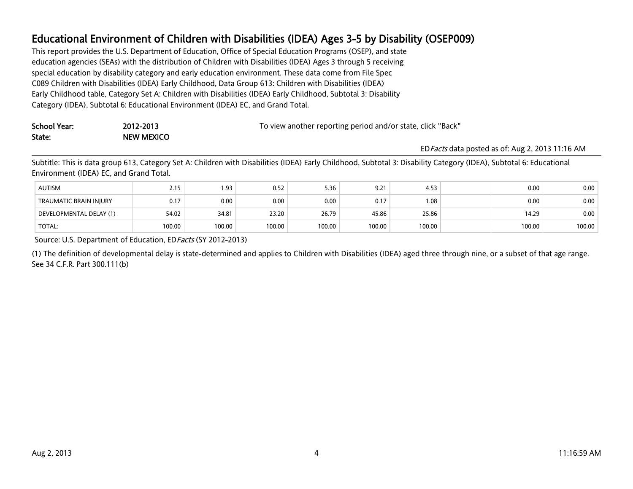This report provides the U.S. Department of Education, Office of Special Education Programs (OSEP), and state education agencies (SEAs) with the distribution of Children with Disabilities (IDEA) Ages 3 through 5 receiving special education by disability category and early education environment. These data come from File Spec C089 Children with Disabilities (IDEA) Early Childhood, Data Group 613: Children with Disabilities (IDEA) Early Childhood table, Category Set A: Children with Disabilities (IDEA) Early Childhood, Subtotal 3: Disability Category (IDEA), Subtotal 6: Educational Environment (IDEA) EC, and Grand Total.

| School Year: | 2012-2013  | To view another reporting period and/or state, click "Back" |
|--------------|------------|-------------------------------------------------------------|
| State:       | NEW MEXICO |                                                             |
|              |            | <b>FD</b> Facts data post                                   |

EDFacts data posted as of: Aug 2, 2013 11:16 AM

Subtitle: This is data group 613, Category Set A: Children with Disabilities (IDEA) Early Childhood, Subtotal 3: Disability Category (IDEA), Subtotal 6: Educational Environment (IDEA) EC, and Grand Total.

| <b>AUTISM</b>           | د ۱.   | 93. ا  | 0.52   | 5.36   | 9.21   | 4.53   | 0.00   | 0.00   |
|-------------------------|--------|--------|--------|--------|--------|--------|--------|--------|
| TRAUMATIC BRAIN INJURY  | 0.17   | 0.00   | 0.00   | 0.00   | 0.17   | 0.1    | 0.00   | 0.00   |
| DEVELOPMENTAL DELAY (1) | 54.02  | 34.81  | 23.20  | 26.79  | 45.86  | 25.86  | 14.29  | 0.00   |
| <b>TOTAL:</b>           | 100.00 | 100.00 | 100.00 | 100.00 | 100.00 | 100.00 | 100.00 | 100.00 |

Source: U.S. Department of Education, EDFacts (SY 2012-2013)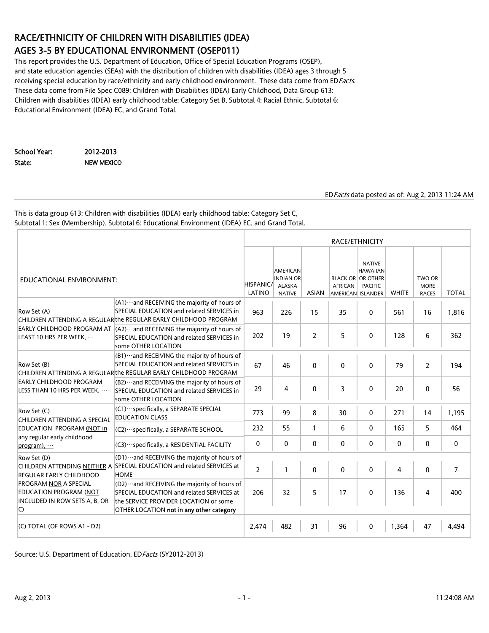# RACE/ETHNICITY OF CHILDREN WITH DISABILITIES (IDEA) AGES 3-5 BY EDUCATIONAL ENVIRONMENT (OSEP011)

This report provides the U.S. Department of Education, Office of Special Education Programs (OSEP), and state education agencies (SEAs) with the distribution of children with disabilities (IDEA) ages 3 through 5 receiving special education by race/ethnicity and early childhood environment. These data come from EDFacts. These data come from File Spec C089: Children with Disabilities (IDEA) Early Childhood, Data Group 613: Children with disabilities (IDEA) early childhood table: Category Set B, Subtotal 4: Racial Ethnic, Subtotal 6: Educational Environment (IDEA) EC, and Grand Total.

School Year: 2012-2013 State: NEW MEXICO

#### EDFacts data posted as of: Aug 2, 2013 11:24 AM

This is data group 613: Children with disabilities (IDEA) early childhood table: Category Set C, Subtotal 1: Sex (Membership), Subtotal 6: Educational Environment (IDEA) EC, and Grand Total.

|                                                                                                                |                                                                                                                                                                                            | RACE/ETHNICITY             |                                                                       |              |              |                                                                                                     |              |                                                         |                |  |
|----------------------------------------------------------------------------------------------------------------|--------------------------------------------------------------------------------------------------------------------------------------------------------------------------------------------|----------------------------|-----------------------------------------------------------------------|--------------|--------------|-----------------------------------------------------------------------------------------------------|--------------|---------------------------------------------------------|----------------|--|
| EDUCATIONAL ENVIRONMENT:                                                                                       |                                                                                                                                                                                            | <b>HISPANIC/</b><br>LATINO | <b>AMERICAN</b><br><b>INDIAN OR</b><br><b>ALASKA</b><br><b>NATIVE</b> | <b>ASIAN</b> | AFRICAN      | <b>NATIVE</b><br><b>HAWAIIAN</b><br><b>BLACK OR OR OTHER</b><br><b>PACIFIC</b><br>AMERICAN ISLANDER | <b>WHITE</b> | TWO OR<br><b>MORE</b><br><b>RACES</b>                   | <b>TOTAL</b>   |  |
| Row Set (A)                                                                                                    | $(A1)$ and RECEIVING the majority of hours of<br>SPECIAL EDUCATION and related SERVICES in<br>CHILDREN ATTENDING A REGULAR the REGULAR EARLY CHILDHOOD PROGRAM                             | 963                        | 226                                                                   | 15           | 35           | 0                                                                                                   | 561          | 16                                                      | 1,816          |  |
| LEAST 10 HRS PER WEEK.                                                                                         | EARLY CHILDHOOD PROGRAM AT $\vert (A2) \cdots$ and RECEIVING the majority of hours of<br>SPECIAL EDUCATION and related SERVICES in<br>some OTHER LOCATION                                  | 202                        | 19                                                                    | 2            | 5            | 0                                                                                                   | 128          | 6                                                       | 362            |  |
| Row Set (B)                                                                                                    | $ $ (B1) $\cdots$ and RECEIVING the majority of hours of<br>SPECIAL EDUCATION and related SERVICES in<br>CHILDREN ATTENDING A REGULAR the REGULAR EARLY CHILDHOOD PROGRAM                  | 67                         | 46                                                                    | $\mathbf{0}$ | $\mathbf{0}$ | $\mathbf{0}$                                                                                        | 79           | $\overline{2}$                                          | 194            |  |
| <b>EARLY CHILDHOOD PROGRAM</b><br>LESS THAN 10 HRS PER WEEK,                                                   | (B2) ··· and RECEIVING the majority of hours of<br>SPECIAL EDUCATION and related SERVICES in<br>some OTHER LOCATION                                                                        | 29                         | 4                                                                     | $\mathbf{0}$ | 3            | 0                                                                                                   | 20           | $\mathbf{0}$<br>14<br>5<br>0<br>$\mathbf{0}$<br>4<br>47 | 56             |  |
| Row Set (C)<br>CHILDREN ATTENDING A SPECIAL                                                                    | $ $ (C1) $\cdots$ specifically, a SEPARATE SPECIAL<br><b>EDUCATION CLASS</b>                                                                                                               | 773                        | 99                                                                    | 8            | 30           | $\mathbf 0$                                                                                         | 271          |                                                         | 1,195          |  |
| EDUCATION PROGRAM (NOT in                                                                                      | (C2) · · · specifically, a SEPARATE SCHOOL                                                                                                                                                 | 232                        | 55                                                                    | $\mathbf{1}$ | 6            | $\mathbf{0}$                                                                                        | 165          |                                                         | 464            |  |
| any regular early childhood<br>$program$ ), $\cdots$                                                           | $ $ (C3) $\cdots$ specifically, a RESIDENTIAL FACILITY                                                                                                                                     | 0                          | 0                                                                     | 0            | 0            | 0                                                                                                   | 0            |                                                         | 0              |  |
| Row Set (D)<br><b>REGULAR EARLY CHILDHOOD</b>                                                                  | $ $ (D1) $\cdots$ and RECEIVING the majority of hours of<br>CHILDREN ATTENDING NEITHER A SPECIAL EDUCATION and related SERVICES at<br><b>HOME</b>                                          | $\overline{2}$             | $\mathbf{1}$                                                          | $\Omega$     | $\Omega$     | $\mathbf{0}$                                                                                        | 4            |                                                         | $\overline{7}$ |  |
| <b>PROGRAM NOR A SPECIAL</b><br><b>EDUCATION PROGRAM (NOT</b><br>INCLUDED IN ROW SETS A, B, OR<br>$\mathsf{C}$ | $ $ (D2) $\cdots$ and RECEIVING the majority of hours of<br>SPECIAL EDUCATION and related SERVICES at<br>the SERVICE PROVIDER LOCATION or some<br>OTHER LOCATION not in any other category | 206                        | 32                                                                    | 5            | 17           | 0                                                                                                   | 136          |                                                         | 400            |  |
| (C) TOTAL (OF ROWS A1 - D2)                                                                                    |                                                                                                                                                                                            | 2,474                      | 482                                                                   | 31           | 96           | $\mathbf{0}$                                                                                        | 1,364        |                                                         | 4.494          |  |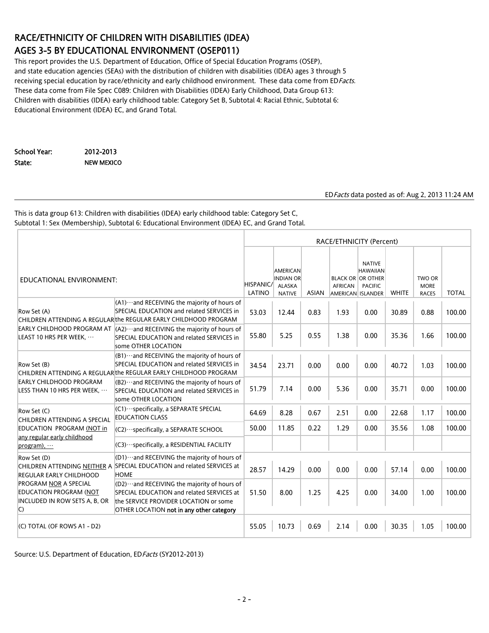# RACE/ETHNICITY OF CHILDREN WITH DISABILITIES (IDEA) AGES 3-5 BY EDUCATIONAL ENVIRONMENT (OSEP011)

This report provides the U.S. Department of Education, Office of Special Education Programs (OSEP), and state education agencies (SEAs) with the distribution of children with disabilities (IDEA) ages 3 through 5 receiving special education by race/ethnicity and early childhood environment. These data come from EDFacts. These data come from File Spec C089: Children with Disabilities (IDEA) Early Childhood, Data Group 613: Children with disabilities (IDEA) early childhood table: Category Set B, Subtotal 4: Racial Ethnic, Subtotal 6: Educational Environment (IDEA) EC, and Grand Total.

School Year: 2012-2013 State: NEW MEXICO

#### EDFacts data posted as of: Aug 2, 2013 11:24 AM

This is data group 613: Children with disabilities (IDEA) early childhood table: Category Set C, Subtotal 1: Sex (Membership), Subtotal 6: Educational Environment (IDEA) EC, and Grand Total.

|                                                                                                                                                                                                                                                                                                                                                                                          |                                                                                                                                                                      |                     | RACE/ETHNICITY (Percent)                                              |              |                |                                                                                                     |              |                                       |              |  |
|------------------------------------------------------------------------------------------------------------------------------------------------------------------------------------------------------------------------------------------------------------------------------------------------------------------------------------------------------------------------------------------|----------------------------------------------------------------------------------------------------------------------------------------------------------------------|---------------------|-----------------------------------------------------------------------|--------------|----------------|-----------------------------------------------------------------------------------------------------|--------------|---------------------------------------|--------------|--|
| EDUCATIONAL ENVIRONMENT:                                                                                                                                                                                                                                                                                                                                                                 |                                                                                                                                                                      | HISPANIC/<br>LATINO | <b>AMERICAN</b><br><b>INDIAN OR</b><br><b>ALASKA</b><br><b>NATIVE</b> | <b>ASIAN</b> | <b>AFRICAN</b> | <b>NATIVE</b><br><b>HAWAIIAN</b><br><b>BLACK OR OR OTHER</b><br><b>PACIFIC</b><br>AMERICAN ISLANDER | <b>WHITE</b> | TWO OR<br><b>MORE</b><br><b>RACES</b> | <b>TOTAL</b> |  |
| Row Set (A)                                                                                                                                                                                                                                                                                                                                                                              | $(A1)\cdots$ and RECEIVING the majority of hours of<br>SPECIAL EDUCATION and related SERVICES in<br>CHILDREN ATTENDING A REGULAR the REGULAR EARLY CHILDHOOD PROGRAM | 53.03               | 12.44                                                                 | 0.83         | 1.93           | 0.00                                                                                                | 30.89        | 0.88                                  | 100.00       |  |
| LEAST 10 HRS PER WEEK,                                                                                                                                                                                                                                                                                                                                                                   | EARLY CHILDHOOD PROGRAM AT $(A2)$ . and RECEIVING the majority of hours of<br>SPECIAL EDUCATION and related SERVICES in<br>some OTHER LOCATION                       | 55.80               | 5.25                                                                  | 0.55         | 1.38           | 0.00                                                                                                | 35.36        | 1.66                                  | 100.00       |  |
| $ $ (B1) $\cdots$ and RECEIVING the majority of hours of<br>SPECIAL EDUCATION and related SERVICES in<br>Row Set (B)<br>CHILDREN ATTENDING A REGULAR the REGULAR EARLY CHILDHOOD PROGRAM<br><b>EARLY CHILDHOOD PROGRAM</b><br>$ $ (B2) $\cdots$ and RECEIVING the majority of hours of<br>LESS THAN 10 HRS PER WEEK,<br>SPECIAL EDUCATION and related SERVICES in<br>some OTHER LOCATION |                                                                                                                                                                      | 34.54               | 23.71                                                                 | 0.00         | 0.00           | 0.00                                                                                                | 40.72        | 1.03                                  | 100.00       |  |
|                                                                                                                                                                                                                                                                                                                                                                                          |                                                                                                                                                                      | 51.79               | 7.14                                                                  | 0.00         | 5.36           | 0.00                                                                                                | 35.71        | 0.00                                  | 100.00       |  |
| Row Set (C)<br>CHILDREN ATTENDING A SPECIAL                                                                                                                                                                                                                                                                                                                                              | $ $ (C1) $\cdots$ specifically, a SEPARATE SPECIAL<br><b>EDUCATION CLASS</b>                                                                                         | 64.69               | 8.28                                                                  | 0.67         | 2.51           | 0.00                                                                                                | 22.68        | 1.17                                  | 100.00       |  |
| EDUCATION PROGRAM (NOT in                                                                                                                                                                                                                                                                                                                                                                | (C2) · · · specifically, a SEPARATE SCHOOL                                                                                                                           | 50.00               | 11.85                                                                 | 0.22         | 1.29           | 0.00                                                                                                | 35.56        | 1.08                                  | 100.00       |  |
| any regular early childhood<br>(C3) · ·· specifically, a RESIDENTIAL FACILITY<br>program),                                                                                                                                                                                                                                                                                               |                                                                                                                                                                      |                     |                                                                       |              |                |                                                                                                     |              |                                       |              |  |
| Row Set (D)<br><b>REGULAR EARLY CHILDHOOD</b>                                                                                                                                                                                                                                                                                                                                            | $ $ (D1) $\cdots$ and RECEIVING the majority of hours of<br>CHILDREN ATTENDING NEITHER A SPECIAL EDUCATION and related SERVICES at<br><b>HOME</b>                    | 28.57               | 14.29                                                                 | 0.00         | 0.00           | 0.00                                                                                                | 57.14        | 0.00                                  | 100.00       |  |
| PROGRAM NOR A SPECIAL<br>(D2)  and RECEIVING the majority of hours of<br><b>EDUCATION PROGRAM (NOT</b><br>SPECIAL EDUCATION and related SERVICES at<br>INCLUDED IN ROW SETS A, B, OR<br>the SERVICE PROVIDER LOCATION or some<br>$\mathsf{C}$<br>OTHER LOCATION not in any other category                                                                                                |                                                                                                                                                                      | 51.50               | 8.00                                                                  | 1.25         | 4.25           | 0.00                                                                                                | 34.00        | 1.00                                  | 100.00       |  |
| (C) TOTAL (OF ROWS A1 - D2)                                                                                                                                                                                                                                                                                                                                                              |                                                                                                                                                                      | 55.05               | 10.73                                                                 | 0.69         | 2.14           | 0.00                                                                                                | 30.35        | 1.05                                  | 100.00       |  |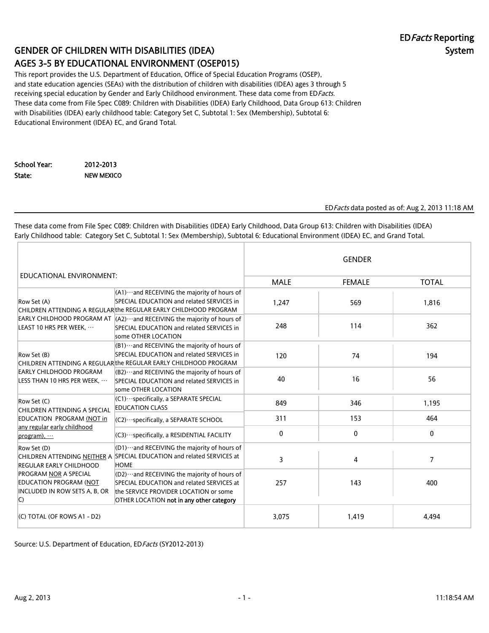# GENDER OF CHILDREN WITH DISABILITIES (IDEA) AGES 3-5 BY EDUCATIONAL ENVIRONMENT (OSEP015)

This report provides the U.S. Department of Education, Office of Special Education Programs (OSEP), and state education agencies (SEAs) with the distribution of children with disabilities (IDEA) ages 3 through 5 receiving special education by Gender and Early Childhood environment. These data come from EDFacts. These data come from File Spec C089: Children with Disabilities (IDEA) Early Childhood, Data Group 613: Children with Disabilities (IDEA) early childhood table: Category Set C, Subtotal 1: Sex (Membership), Subtotal 6: Educational Environment (IDEA) EC, and Grand Total.

School Year: 2012-2013 State: NEW MEXICO

EDFacts data posted as of: Aug 2, 2013 11:18 AM

These data come from File Spec C089: Children with Disabilities (IDEA) Early Childhood, Data Group 613: Children with Disabilities (IDEA) Early Childhood table: Category Set C, Subtotal 1: Sex (Membership), Subtotal 6: Educational Environment (IDEA) EC, and Grand Total.

|                                                                                                                                                                                                                                                                                                                                                                                                   |                                                                                                                                                                | <b>GENDER</b> |               |              |  |  |
|---------------------------------------------------------------------------------------------------------------------------------------------------------------------------------------------------------------------------------------------------------------------------------------------------------------------------------------------------------------------------------------------------|----------------------------------------------------------------------------------------------------------------------------------------------------------------|---------------|---------------|--------------|--|--|
| EDUCATIONAL ENVIRONMENT:                                                                                                                                                                                                                                                                                                                                                                          |                                                                                                                                                                | <b>MALE</b>   | <b>FEMALE</b> | <b>TOTAL</b> |  |  |
| Row Set (A)                                                                                                                                                                                                                                                                                                                                                                                       | $(A1)$ and RECEIVING the majority of hours of<br>SPECIAL EDUCATION and related SERVICES in<br>CHILDREN ATTENDING A REGULAR the REGULAR EARLY CHILDHOOD PROGRAM | 1,247         | 569           | 1,816        |  |  |
| EARLY CHILDHOOD PROGRAM AT $ $ (A2) ··· and RECEIVING the majority of hours of<br>LEAST 10 HRS PER WEEK,<br>SPECIAL EDUCATION and related SERVICES in<br>some OTHER LOCATION                                                                                                                                                                                                                      |                                                                                                                                                                | 248           | 114           | 362          |  |  |
| $ $ (B1) $\cdots$ and RECEIVING the majority of hours of<br>SPECIAL EDUCATION and related SERVICES in<br>Row Set (B)<br>CHILDREN ATTENDING A REGULAR the REGULAR EARLY CHILDHOOD PROGRAM<br><b>EARLY CHILDHOOD PROGRAM</b><br>$ $ (B2) $\cdots$ and RECEIVING the majority of hours of<br>LESS THAN 10 HRS PER WEEK, $\cdots$<br>SPECIAL EDUCATION and related SERVICES in<br>some OTHER LOCATION |                                                                                                                                                                | 120           | 74            | 194          |  |  |
|                                                                                                                                                                                                                                                                                                                                                                                                   |                                                                                                                                                                | 40            | 16            | 56           |  |  |
| (C1) ··· specifically, a SEPARATE SPECIAL<br>Row Set (C)<br><b>EDUCATION CLASS</b><br>CHILDREN ATTENDING A SPECIAL                                                                                                                                                                                                                                                                                |                                                                                                                                                                | 849           | 346           | 1,195        |  |  |
| EDUCATION PROGRAM (NOT in                                                                                                                                                                                                                                                                                                                                                                         | $ $ (C2) $\cdots$ specifically, a SEPARATE SCHOOL                                                                                                              | 311           | 153           | 464          |  |  |
| any regular early childhood<br>$program)$ ,                                                                                                                                                                                                                                                                                                                                                       | (C3) ··· specifically, a RESIDENTIAL FACILITY                                                                                                                  | 0             | $\mathbf{0}$  | 0            |  |  |
| $ $ (D1) $\cdots$ and RECEIVING the majority of hours of<br>Row Set (D)<br>CHILDREN ATTENDING NEITHER A SPECIAL EDUCATION and related SERVICES at<br><b>HOME</b><br><b>REGULAR EARLY CHILDHOOD</b>                                                                                                                                                                                                |                                                                                                                                                                | 3             | 4             | 7            |  |  |
| <b>PROGRAM NOR A SPECIAL</b><br><b>EDUCATION PROGRAM (NOT</b><br>INCLUDED IN ROW SETS A, B, OR Lthe SERVICE PROVIDER LOCATION or some<br>$\mathsf{C}$                                                                                                                                                                                                                                             | (D2) ··· and RECEIVING the majority of hours of<br>SPECIAL EDUCATION and related SERVICES at<br>OTHER LOCATION not in any other category                       | 257           | 143           | 400          |  |  |
| (C) TOTAL (OF ROWS A1 - D2)                                                                                                                                                                                                                                                                                                                                                                       |                                                                                                                                                                | 3,075         | 1,419         | 4,494        |  |  |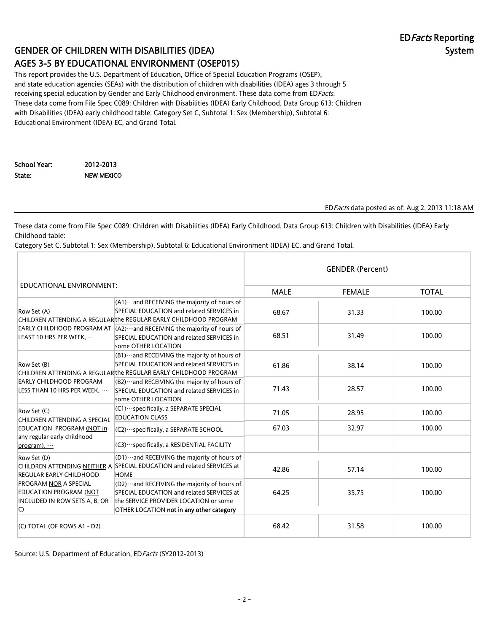# GENDER OF CHILDREN WITH DISABILITIES (IDEA) AGES 3-5 BY EDUCATIONAL ENVIRONMENT (OSEP015)

This report provides the U.S. Department of Education, Office of Special Education Programs (OSEP), and state education agencies (SEAs) with the distribution of children with disabilities (IDEA) ages 3 through 5 receiving special education by Gender and Early Childhood environment. These data come from EDFacts. These data come from File Spec C089: Children with Disabilities (IDEA) Early Childhood, Data Group 613: Children with Disabilities (IDEA) early childhood table: Category Set C, Subtotal 1: Sex (Membership), Subtotal 6: Educational Environment (IDEA) EC, and Grand Total.

School Year: 2012-2013 State: NEW MEXICO

EDFacts data posted as of: Aug 2, 2013 11:18 AM

These data come from File Spec C089: Children with Disabilities (IDEA) Early Childhood, Data Group 613: Children with Disabilities (IDEA) Early Childhood table:

Category Set C, Subtotal 1: Sex (Membership), Subtotal 6: Educational Environment (IDEA) EC, and Grand Total.

|                                                                                                                                                                                       |                                                                                                                                                                                            | <b>GENDER (Percent)</b> |               |              |  |  |
|---------------------------------------------------------------------------------------------------------------------------------------------------------------------------------------|--------------------------------------------------------------------------------------------------------------------------------------------------------------------------------------------|-------------------------|---------------|--------------|--|--|
| EDUCATIONAL ENVIRONMENT:                                                                                                                                                              |                                                                                                                                                                                            | <b>MALE</b>             | <b>FEMALE</b> | <b>TOTAL</b> |  |  |
| Row Set (A)                                                                                                                                                                           | $(A1)$ and RECEIVING the majority of hours of<br>SPECIAL EDUCATION and related SERVICES in<br>CHILDREN ATTENDING A REGULAR the REGULAR EARLY CHILDHOOD PROGRAM                             | 68.67                   | 31.33         | 100.00       |  |  |
| EARLY CHILDHOOD PROGRAM AT $\vert$ (A2) ··· and RECEIVING the majority of hours of<br>LEAST 10 HRS PER WEEK,<br>SPECIAL EDUCATION and related SERVICES in<br>some OTHER LOCATION      |                                                                                                                                                                                            | 68.51                   | 31.49         | 100.00       |  |  |
| Row Set (B)                                                                                                                                                                           | $ $ (B1) $\cdots$ and RECEIVING the majority of hours of<br>SPECIAL EDUCATION and related SERVICES in<br>CHILDREN ATTENDING A REGULARthe REGULAR EARLY CHILDHOOD PROGRAM                   | 61.86                   | 38.14         | 100.00       |  |  |
| EARLY CHILDHOOD PROGRAM<br>$ $ (B2) $\cdots$ and RECEIVING the majority of hours of<br>LESS THAN 10 HRS PER WEEK,<br>SPECIAL EDUCATION and related SERVICES in<br>some OTHER LOCATION |                                                                                                                                                                                            | 71.43                   | 28.57         | 100.00       |  |  |
| $(C1)\cdots$ specifically, a SEPARATE SPECIAL<br>Row Set (C)<br><b>EDUCATION CLASS</b><br>CHILDREN ATTENDING A SPECIAL                                                                |                                                                                                                                                                                            | 71.05                   | 28.95         | 100.00       |  |  |
| EDUCATION PROGRAM (NOT in                                                                                                                                                             | $ $ (C2) $\cdots$ specifically, a SEPARATE SCHOOL                                                                                                                                          | 67.03                   | 32.97         | 100.00       |  |  |
| any regular early childhood<br>program), $\cdots$                                                                                                                                     | (C3) · · · specifically, a RESIDENTIAL FACILITY                                                                                                                                            |                         |               |              |  |  |
| Row Set (D)<br><b>REGULAR EARLY CHILDHOOD</b>                                                                                                                                         | $ $ (D1) $\cdots$ and RECEIVING the majority of hours of<br>CHILDREN ATTENDING NEITHER A SPECIAL EDUCATION and related SERVICES at<br><b>HOME</b>                                          | 42.86                   | 57.14         | 100.00       |  |  |
| <b>PROGRAM NOR A SPECIAL</b><br><b>EDUCATION PROGRAM (NOT</b><br>INCLUDED IN ROW SETS A, B, OR<br>$\mathsf{C}$                                                                        | $ $ (D2) $\cdots$ and RECEIVING the majority of hours of<br>SPECIAL EDUCATION and related SERVICES at<br>the SERVICE PROVIDER LOCATION or some<br>OTHER LOCATION not in any other category | 64.25                   | 35.75         | 100.00       |  |  |
| (C) TOTAL (OF ROWS A1 - D2)                                                                                                                                                           |                                                                                                                                                                                            | 68.42                   | 31.58         | 100.00       |  |  |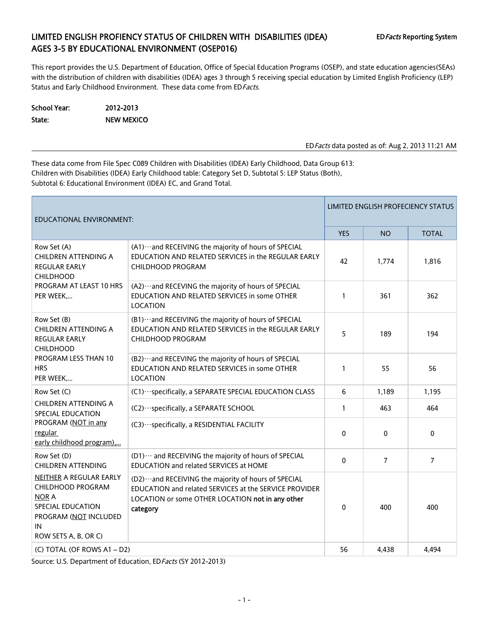## LIMITED ENGLISH PROFIENCY STATUS OF CHILDREN WITH DISABILITIES (IDEA) EDFacts Reporting System AGES 3-5 BY EDUCATIONAL ENVIRONMENT (OSEP016)

This report provides the U.S. Department of Education, Office of Special Education Programs (OSEP), and state education agencies(SEAs) with the distribution of children with disabilities (IDEA) ages 3 through 5 receiving special education by Limited English Proficiency (LEP) Status and Early Childhood Environment. These data come from ED Facts.

| School Year: | 2012-2013         |
|--------------|-------------------|
| State:       | <b>NEW MEXICO</b> |

EDFacts data posted as of: Aug 2, 2013 11:21 AM

These data come from File Spec C089 Children with Disabilities (IDEA) Early Childhood, Data Group 613: Children with Disabilities (IDEA) Early Childhood table: Category Set D, Subtotal 5: LEP Status (Both), Subtotal 6: Educational Environment (IDEA) EC, and Grand Total.

| <b>EDUCATIONAL ENVIRONMENT:</b>                                                                                                          |                                                                                                                                                                                   |              |                | LIMITED ENGLISH PROFECIENCY STATUS |
|------------------------------------------------------------------------------------------------------------------------------------------|-----------------------------------------------------------------------------------------------------------------------------------------------------------------------------------|--------------|----------------|------------------------------------|
|                                                                                                                                          |                                                                                                                                                                                   | <b>YES</b>   | <b>NO</b>      | <b>TOTAL</b>                       |
| Row Set (A)<br>CHILDREN ATTENDING A<br>REGULAR EARLY<br><b>CHILDHOOD</b>                                                                 | (A1) ··· and RECEIVING the majority of hours of SPECIAL<br>EDUCATION AND RELATED SERVICES in the REGULAR EARLY<br><b>CHILDHOOD PROGRAM</b>                                        | 42           | 1,774          | 1,816                              |
| PROGRAM AT LEAST 10 HRS<br>PER WEEK,                                                                                                     | (A2) ··· and RECEVING the majority of hours of SPECIAL<br>EDUCATION AND RELATED SERVICES in some OTHER<br>LOCATION                                                                | $\mathbf{1}$ | 361            | 362                                |
| Row Set (B)<br>CHILDREN ATTENDING A<br><b>REGULAR EARLY</b><br><b>CHILDHOOD</b>                                                          | (B1) ··· and RECEIVING the majority of hours of SPECIAL<br>EDUCATION AND RELATED SERVICES in the REGULAR EARLY<br><b>CHILDHOOD PROGRAM</b>                                        |              | 189            | 194                                |
| PROGRAM LESS THAN 10<br><b>HRS</b><br>PER WEEK,                                                                                          | (B2) ··· and RECEVING the majority of hours of SPECIAL<br>EDUCATION AND RELATED SERVICES in some OTHER<br>LOCATION                                                                | $\mathbf{1}$ | 55             | 56                                 |
| Row Set (C)                                                                                                                              | (C1) ··· specifically, a SEPARATE SPECIAL EDUCATION CLASS                                                                                                                         | 6            | 1,189          | 1,195                              |
| CHILDREN ATTENDING A<br>SPECIAL EDUCATION                                                                                                | (C2) ··· specifically, a SEPARATE SCHOOL                                                                                                                                          | 1            | 463            | 464                                |
| PROGRAM (NOT in any<br>regular<br>early childhood program),                                                                              | (C3) ··· specifically, a RESIDENTIAL FACILITY                                                                                                                                     | $\Omega$     | $\mathbf{0}$   | 0                                  |
| Row Set (D)<br><b>CHILDREN ATTENDING</b>                                                                                                 | (D1) ··· and RECEIVING the majority of hours of SPECIAL<br>EDUCATION and related SERVICES at HOME                                                                                 | $\mathbf{0}$ | $\overline{7}$ | $\overline{7}$                     |
| NEITHER A REGULAR EARLY<br>CHILDHOOD PROGRAM<br><b>NOR A</b><br>SPECIAL EDUCATION<br>PROGRAM (NOT INCLUDED<br>IN<br>ROW SETS A, B, OR C) | (D2) ··· and RECEIVING the majority of hours of SPECIAL<br>EDUCATION and related SERVICES at the SERVICE PROVIDER<br>LOCATION or some OTHER LOCATION not in any other<br>category | $\Omega$     | 400            | 400                                |
| (C) TOTAL (OF ROWS A1 - D2)                                                                                                              |                                                                                                                                                                                   | 56           | 4,438          | 4,494                              |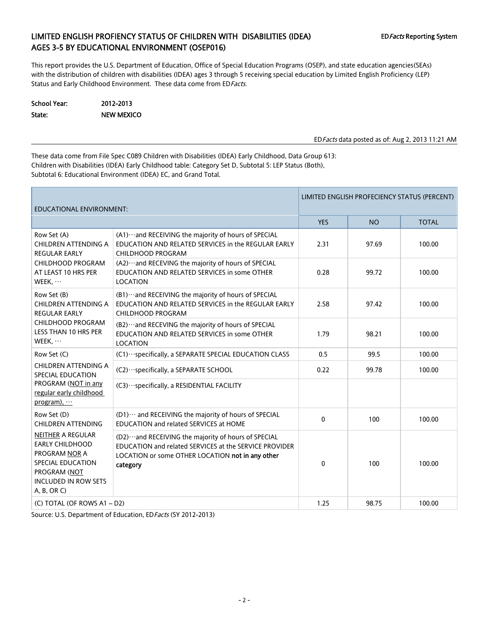## LIMITED ENGLISH PROFIENCY STATUS OF CHILDREN WITH DISABILITIES (IDEA) EDFacts Reporting System AGES 3-5 BY EDUCATIONAL ENVIRONMENT (OSEP016)

This report provides the U.S. Department of Education, Office of Special Education Programs (OSEP), and state education agencies(SEAs) with the distribution of children with disabilities (IDEA) ages 3 through 5 receiving special education by Limited English Proficiency (LEP) Status and Early Childhood Environment. These data come from ED Facts.

School Year: 2012-2013 State: NEW MEXICO

EDFacts data posted as of: Aug 2, 2013 11:21 AM

These data come from File Spec C089 Children with Disabilities (IDEA) Early Childhood, Data Group 613: Children with Disabilities (IDEA) Early Childhood table: Category Set D, Subtotal 5: LEP Status (Both), Subtotal 6: Educational Environment (IDEA) EC, and Grand Total.

| EDUCATIONAL ENVIRONMENT:                                                                                                                                             |                                                                                                                                                                                   | LIMITED ENGLISH PROFECIENCY STATUS (PERCENT) |           |              |  |  |
|----------------------------------------------------------------------------------------------------------------------------------------------------------------------|-----------------------------------------------------------------------------------------------------------------------------------------------------------------------------------|----------------------------------------------|-----------|--------------|--|--|
|                                                                                                                                                                      |                                                                                                                                                                                   | <b>YES</b>                                   | <b>NO</b> | <b>TOTAL</b> |  |  |
| Row Set (A)<br><b>CHILDREN ATTENDING A</b><br><b>REGULAR EARLY</b>                                                                                                   | (A1) ··· and RECEIVING the majority of hours of SPECIAL<br>EDUCATION AND RELATED SERVICES in the REGULAR EARLY<br>CHILDHOOD PROGRAM                                               | 2.31                                         | 97.69     | 100.00       |  |  |
| CHILDHOOD PROGRAM<br>AT LEAST 10 HRS PER<br>WEEK, $\cdots$                                                                                                           | (A2) ··· and RECEVING the majority of hours of SPECIAL<br>EDUCATION AND RELATED SERVICES in some OTHER<br><b>LOCATION</b>                                                         | 0.28                                         | 99.72     | 100.00       |  |  |
| Row Set (B)<br>CHILDREN ATTENDING A<br><b>REGULAR EARLY</b>                                                                                                          | (B1) ··· and RECEIVING the majority of hours of SPECIAL<br>EDUCATION AND RELATED SERVICES in the REGULAR EARLY<br>CHILDHOOD PROGRAM                                               |                                              | 97.42     | 100.00       |  |  |
| CHILDHOOD PROGRAM<br>LESS THAN 10 HRS PER<br>WEEK, $\cdots$                                                                                                          | (B2) ··· and RECEVING the majority of hours of SPECIAL<br>EDUCATION AND RELATED SERVICES in some OTHER<br><b>LOCATION</b>                                                         | 1.79                                         | 98.21     | 100.00       |  |  |
| Row Set (C)                                                                                                                                                          | (C1) ··· specifically, a SEPARATE SPECIAL EDUCATION CLASS                                                                                                                         | 0.5                                          | 99.5      | 100.00       |  |  |
| CHILDREN ATTENDING A<br>SPECIAL EDUCATION                                                                                                                            | (C2) · · · specifically, a SEPARATE SCHOOL                                                                                                                                        | 0.22                                         | 99.78     | 100.00       |  |  |
| PROGRAM (NOT in any<br>regular early childhood<br>program), $\cdots$                                                                                                 | (C3) ··· specifically, a RESIDENTIAL FACILITY                                                                                                                                     |                                              |           |              |  |  |
| Row Set (D)<br><b>CHILDREN ATTENDING</b>                                                                                                                             | (D1) ··· and RECEIVING the majority of hours of SPECIAL<br>EDUCATION and related SERVICES at HOME                                                                                 | 0                                            | 100       | 100.00       |  |  |
| <b>NEITHER A REGULAR</b><br><b>EARLY CHILDHOOD</b><br><b>PROGRAM NOR A</b><br><b>SPECIAL EDUCATION</b><br>PROGRAM (NOT<br><b>INCLUDED IN ROW SETS</b><br>A, B, OR C) | (D2) ··· and RECEIVING the majority of hours of SPECIAL<br>EDUCATION and related SERVICES at the SERVICE PROVIDER<br>LOCATION or some OTHER LOCATION not in any other<br>category | 0                                            | 100       | 100.00       |  |  |
| (C) TOTAL (OF ROWS A1-D2)                                                                                                                                            |                                                                                                                                                                                   | 1.25                                         | 98.75     | 100.00       |  |  |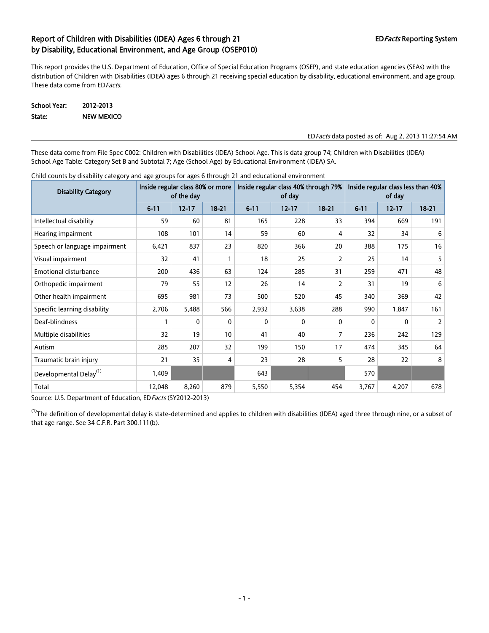This report provides the U.S. Department of Education, Office of Special Education Programs (OSEP), and state education agencies (SEAs) with the distribution of Children with Disabilities (IDEA) ages 6 through 21 receiving special education by disability, educational environment, and age group. These data come from ED Facts.

School Year: 2012-2013 State: NEW MEXICO

#### EDFacts data posted as of: Aug 2, 2013 11:27:54 AM

These data come from File Spec C002: Children with Disabilities (IDEA) School Age. This is data group 74; Children with Disabilities (IDEA) School Age Table: Category Set B and Subtotal 7; Age (School Age) by Educational Environment (IDEA) SA.

| <b>Disability Category</b>         | Inside regular class 80% or more<br>of the day |           |           |              | Inside regular class 40% through 79%<br>of day |           | Inside regular class less than 40%<br>of day |           |           |  |
|------------------------------------|------------------------------------------------|-----------|-----------|--------------|------------------------------------------------|-----------|----------------------------------------------|-----------|-----------|--|
|                                    | $6 - 11$                                       | $12 - 17$ | $18 - 21$ | $6 - 11$     | $12 - 17$                                      | $18 - 21$ | $6 - 11$                                     | $12 - 17$ | $18 - 21$ |  |
| Intellectual disability            | 59                                             | 60        | 81        | 165          | 228                                            | 33        | 394                                          | 669       | 191       |  |
| Hearing impairment                 | 108                                            | 101       | 14        | 59           | 60                                             | 4         | 32                                           | 34        | 6         |  |
| Speech or language impairment      | 6,421                                          | 837       | 23        | 820          | 366                                            | 20        | 388                                          | 175       | 16        |  |
| Visual impairment                  | 32                                             | 41        |           | 18           | 25                                             | 2         | 25                                           | 14        | 5         |  |
| <b>Emotional disturbance</b>       | 200                                            | 436       | 63        | 124          | 285                                            | 31        | 259                                          | 471       | 48        |  |
| Orthopedic impairment              | 79                                             | 55        | 12        | 26           | 14                                             | 2         | 31                                           | 19        | 6         |  |
| Other health impairment            | 695                                            | 981       | 73        | 500          | 520                                            | 45        | 340                                          | 369       | 42        |  |
| Specific learning disability       | 2,706                                          | 5,488     | 566       | 2,932        | 3,638                                          | 288       | 990                                          | 1,847     | 161       |  |
| Deaf-blindness                     | 1                                              | 0         | 0         | $\mathbf{0}$ | 0                                              | 0         | 0                                            | 0         | 2         |  |
| Multiple disabilities              | 32                                             | 19        | 10        | 41           | 40                                             | 7         | 236                                          | 242       | 129       |  |
| Autism                             | 285                                            | 207       | 32        | 199          | 150                                            | 17        | 474                                          | 345       | 64        |  |
| Traumatic brain injury             | 21                                             | 35        | 4         | 23           | 28                                             | 5         | 28                                           | 22        | 8         |  |
| Developmental Delay <sup>(1)</sup> | 1,409                                          |           |           | 643          |                                                |           | 570                                          |           |           |  |
| Total                              | 12,048                                         | 8,260     | 879       | 5,550        | 5,354                                          | 454       | 3,767                                        | 4,207     | 678       |  |

Child counts by disability category and age groups for ages 6 through 21 and educational environment

Source: U.S. Department of Education, ED Facts (SY2012-2013)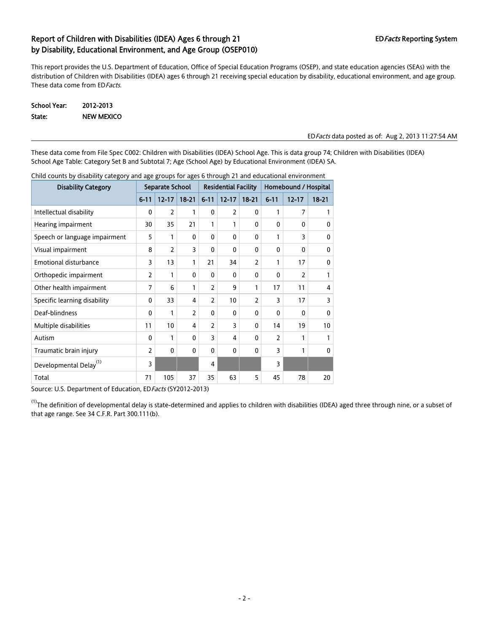This report provides the U.S. Department of Education, Office of Special Education Programs (OSEP), and state education agencies (SEAs) with the distribution of Children with Disabilities (IDEA) ages 6 through 21 receiving special education by disability, educational environment, and age group. These data come from ED Facts.

| School Year: | 2012-2013         |
|--------------|-------------------|
| State:       | <b>NEW MEXICO</b> |

#### EDFacts data posted as of: Aug 2, 2013 11:27:54 AM

These data come from File Spec C002: Children with Disabilities (IDEA) School Age. This is data group 74; Children with Disabilities (IDEA) School Age Table: Category Set B and Subtotal 7; Age (School Age) by Educational Environment (IDEA) SA.

| <b>Disability Category</b>         | Separate School |                | <b>Residential Facility</b> |                |                | Homebound / Hospital |                |                          |              |
|------------------------------------|-----------------|----------------|-----------------------------|----------------|----------------|----------------------|----------------|--------------------------|--------------|
|                                    | $6 - 11$        | $12 - 17$      | $18 - 21$                   | $6 - 11$       | $12 - 17$      | $18 - 21$            | $6 - 11$       | $12 - 17$                | $18 - 21$    |
| Intellectual disability            | 0               | $\overline{2}$ | 1                           | $\Omega$       | $\overline{2}$ | 0                    | 1              | 7                        | 1            |
| Hearing impairment                 | 30              | 35             | 21                          | 1              | 1              | $\mathbf{0}$         | $\mathbf{0}$   | $\mathbf{0}$             | $\mathbf{0}$ |
| Speech or language impairment      | 5               | 1              | $\mathbf{0}$                | $\Omega$       | 0              | $\mathbf{0}$         | 1              | 3                        | $\mathbf{0}$ |
| Visual impairment                  | 8               | 2              | 3                           | $\Omega$       | 0              | 0                    | $\Omega$       | $\Omega$                 | 0            |
| <b>Emotional disturbance</b>       | 3               | 13             | 1                           | 21             | 34             | $\overline{2}$       | 1              | 17                       | $\mathbf{0}$ |
| Orthopedic impairment              | $\overline{2}$  | 1              | $\mathbf{0}$                | $\Omega$       | 0              | 0                    | $\Omega$       | $\overline{\phantom{a}}$ | 1            |
| Other health impairment            | 7               | 6              | 1                           | $\overline{2}$ | 9              | 1                    | 17             | 11                       | 4            |
| Specific learning disability       | $\mathbf{0}$    | 33             | 4                           | $\overline{2}$ | 10             | 2                    | 3              | 17                       | 3            |
| Deaf-blindness                     | $\mathbf{0}$    | 1              | 2                           | $\mathbf{0}$   | $\mathbf{0}$   | 0                    | $\Omega$       | $\Omega$                 | $\mathbf{0}$ |
| Multiple disabilities              | 11              | 10             | 4                           | $\overline{2}$ | 3              | 0                    | 14             | 19                       | 10           |
| Autism                             | 0               | 1              | $\mathbf{0}$                | 3              | 4              | 0                    | $\overline{2}$ | 1                        | 1            |
| Traumatic brain injury             | $\overline{2}$  | 0              | $\mathbf{0}$                | $\mathbf{0}$   | $\mathbf{0}$   | $\mathbf{0}$         | 3              | 1                        | $\mathbf{0}$ |
| Developmental Delay <sup>(1)</sup> | 3               |                |                             | $\overline{4}$ |                |                      | 3              |                          |              |
| Total                              | 71              | 105            | 37                          | 35             | 63             | 5                    | 45             | 78                       | 20           |

Child counts by disability category and age groups for ages 6 through 21 and educational environment

Source: U.S. Department of Education, ED Facts (SY2012-2013)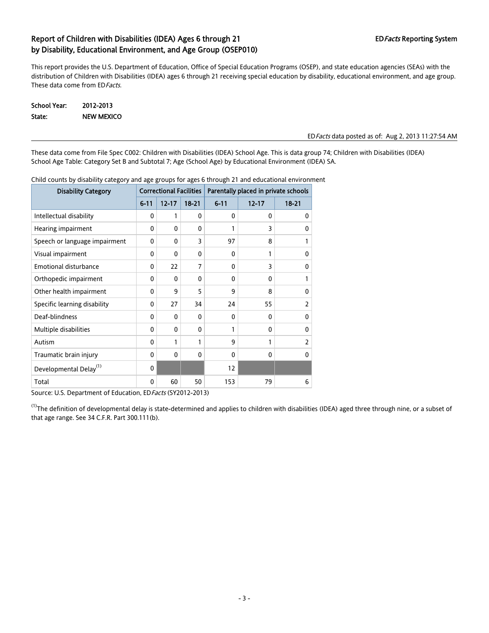This report provides the U.S. Department of Education, Office of Special Education Programs (OSEP), and state education agencies (SEAs) with the distribution of Children with Disabilities (IDEA) ages 6 through 21 receiving special education by disability, educational environment, and age group. These data come from ED Facts.

| School Year: | 2012-2013         |
|--------------|-------------------|
| State:       | <b>NEW MEXICO</b> |

#### EDFacts data posted as of: Aug 2, 2013 11:27:54 AM

These data come from File Spec C002: Children with Disabilities (IDEA) School Age. This is data group 74; Children with Disabilities (IDEA) School Age Table: Category Set B and Subtotal 7; Age (School Age) by Educational Environment (IDEA) SA.

| <b>Disability Category</b>         | <b>Correctional Facilities</b> |              |              | Parentally placed in private schools |           |                |  |
|------------------------------------|--------------------------------|--------------|--------------|--------------------------------------|-----------|----------------|--|
|                                    | $6 - 11$                       | $12 - 17$    | $18 - 21$    | $6 - 11$                             | $12 - 17$ | $18 - 21$      |  |
| Intellectual disability            | 0                              | 1            | $\mathbf{0}$ | 0                                    | 0         | $\mathbf{0}$   |  |
| Hearing impairment                 | 0                              | $\mathbf{0}$ | $\mathbf{0}$ | 1                                    | 3         | 0              |  |
| Speech or language impairment      | 0                              | $\mathbf{0}$ | 3            | 97                                   | 8         | 1              |  |
| Visual impairment                  | 0                              | 0            | $\mathbf{0}$ | 0                                    | 1         | 0              |  |
| Emotional disturbance              | 0                              | 22           | 7            | 0                                    | 3         | 0              |  |
| Orthopedic impairment              | 0                              | 0            | $\mathbf{0}$ | 0                                    | $\Omega$  | 1              |  |
| Other health impairment            | 0                              | 9            | 5            | 9                                    | 8         | 0              |  |
| Specific learning disability       | 0                              | 27           | 34           | 24                                   | 55        | 2              |  |
| Deaf-blindness                     | 0                              | 0            | $\mathbf{0}$ | 0                                    | 0         | $\mathbf{0}$   |  |
| Multiple disabilities              | 0                              | 0            | $\mathbf{0}$ | 1                                    | 0         | 0              |  |
| Autism                             | 0                              | 1            | 1            | 9                                    | 1         | $\overline{2}$ |  |
| Traumatic brain injury             | 0                              | $\mathbf{0}$ | $\mathbf{0}$ | 0                                    | 0         | 0              |  |
| Developmental Delay <sup>(1)</sup> | 0                              |              |              | 12                                   |           |                |  |
| Total                              | 0                              | 60           | 50           | 153                                  | 79        | 6              |  |

Child counts by disability category and age groups for ages 6 through 21 and educational environment

Source: U.S. Department of Education, ED Facts (SY2012-2013)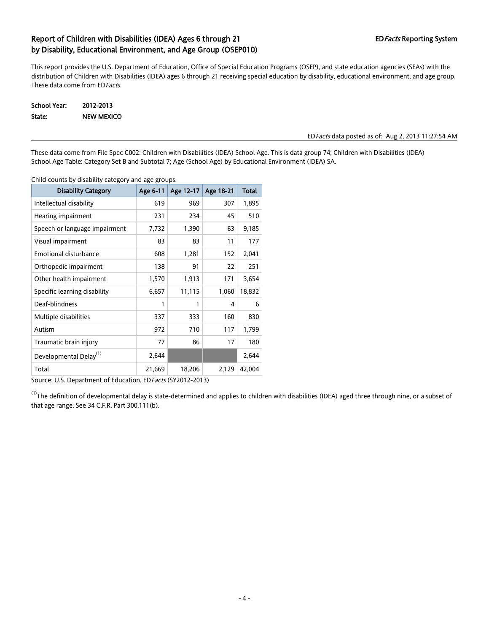This report provides the U.S. Department of Education, Office of Special Education Programs (OSEP), and state education agencies (SEAs) with the distribution of Children with Disabilities (IDEA) ages 6 through 21 receiving special education by disability, educational environment, and age group. These data come from ED Facts.

| School Year: | 2012-2013         |
|--------------|-------------------|
| State:       | <b>NEW MEXICO</b> |

#### EDFacts data posted as of: Aug 2, 2013 11:27:54 AM

These data come from File Spec C002: Children with Disabilities (IDEA) School Age. This is data group 74; Children with Disabilities (IDEA) School Age Table: Category Set B and Subtotal 7; Age (School Age) by Educational Environment (IDEA) SA.

| <b>Disability Category</b>         | Age 6-11 | Age 12-17 | Age 18-21 | <b>Total</b> |
|------------------------------------|----------|-----------|-----------|--------------|
| Intellectual disability            | 619      | 969       | 307       | 1,895        |
| Hearing impairment                 | 231      | 234       | 45        | 510          |
| Speech or language impairment      | 7,732    | 1,390     | 63        | 9,185        |
| Visual impairment                  | 83       | 83        | 11        | 177          |
| <b>Emotional disturbance</b>       | 608      | 1,281     | 152       | 2,041        |
| Orthopedic impairment              | 138      | 91        | 22        | 251          |
| Other health impairment            | 1,570    | 1,913     | 171       | 3,654        |
| Specific learning disability       | 6,657    | 11,115    | 1,060     | 18,832       |
| Deaf-blindness                     | 1        | 1         | 4         | 6            |
| Multiple disabilities              | 337      | 333       | 160       | 830          |
| Autism                             | 972      | 710       | 117       | 1,799        |
| Traumatic brain injury             | 77       | 86        | 17        | 180          |
| Developmental Delay <sup>(1)</sup> | 2,644    |           |           | 2,644        |
| Total                              | 21,669   | 18,206    | 2,129     | 42,004       |

Child counts by disability category and age groups.

Source: U.S. Department of Education, ED Facts (SY2012-2013)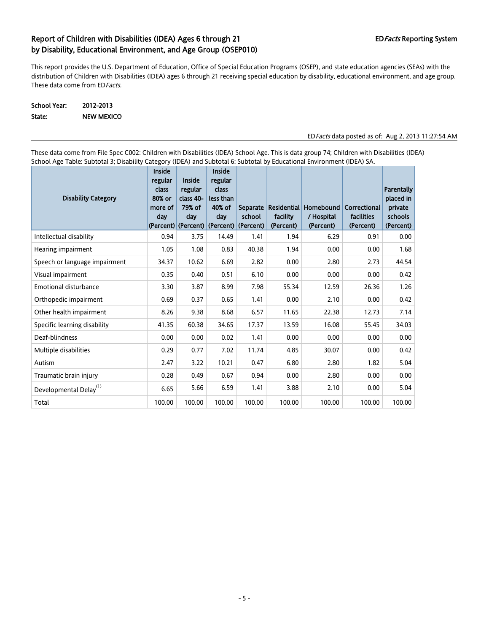This report provides the U.S. Department of Education, Office of Special Education Programs (OSEP), and state education agencies (SEAs) with the distribution of Children with Disabilities (IDEA) ages 6 through 21 receiving special education by disability, educational environment, and age group. These data come from ED Facts.

#### School Year: 2012-2013 State: NEW MEXICO

#### EDFacts data posted as of: Aug 2, 2013 11:27:54 AM

These data come from File Spec C002: Children with Disabilities (IDEA) School Age. This is data group 74; Children with Disabilities (IDEA) School Age Table: Subtotal 3; Disability Category (IDEA) and Subtotal 6: Subtotal by Educational Environment (IDEA) SA.

| <b>Disability Category</b>         | Inside<br>regular<br>class<br>80% or<br>more of<br>day | Inside<br>regular<br>class 40-<br>79% of<br>day | Inside<br>regular<br>class<br>less than<br>40% of<br>dav | <b>Separate</b><br>school<br>(Percent) (Percent) (Percent) (Percent) | <b>Residential</b><br>facility<br>(Percent) | <b>Homebound</b><br>/ Hospital<br>(Percent) | Correctional<br>facilities<br>(Percent) | Parentally<br>placed in<br>private<br>schools<br>(Percent) |
|------------------------------------|--------------------------------------------------------|-------------------------------------------------|----------------------------------------------------------|----------------------------------------------------------------------|---------------------------------------------|---------------------------------------------|-----------------------------------------|------------------------------------------------------------|
| Intellectual disability            | 0.94                                                   | 3.75                                            | 14.49                                                    | 1.41                                                                 | 1.94                                        | 6.29                                        | 0.91                                    | 0.00                                                       |
| Hearing impairment                 | 1.05                                                   | 1.08                                            | 0.83                                                     | 40.38                                                                | 1.94                                        | 0.00                                        | 0.00                                    | 1.68                                                       |
| Speech or language impairment      | 34.37                                                  | 10.62                                           | 6.69                                                     | 2.82                                                                 | 0.00                                        | 2.80                                        | 2.73                                    | 44.54                                                      |
| Visual impairment                  | 0.35                                                   | 0.40                                            | 0.51                                                     | 6.10                                                                 | 0.00                                        | 0.00                                        | 0.00                                    | 0.42                                                       |
| Emotional disturbance              | 3.30                                                   | 3.87                                            | 8.99                                                     | 7.98                                                                 | 55.34                                       | 12.59                                       | 26.36                                   | 1.26                                                       |
| Orthopedic impairment              | 0.69                                                   | 0.37                                            | 0.65                                                     | 1.41                                                                 | 0.00                                        | 2.10                                        | 0.00                                    | 0.42                                                       |
| Other health impairment            | 8.26                                                   | 9.38                                            | 8.68                                                     | 6.57                                                                 | 11.65                                       | 22.38                                       | 12.73                                   | 7.14                                                       |
| Specific learning disability       | 41.35                                                  | 60.38                                           | 34.65                                                    | 17.37                                                                | 13.59                                       | 16.08                                       | 55.45                                   | 34.03                                                      |
| Deaf-blindness                     | 0.00                                                   | 0.00                                            | 0.02                                                     | 1.41                                                                 | 0.00                                        | 0.00                                        | 0.00                                    | 0.00                                                       |
| Multiple disabilities              | 0.29                                                   | 0.77                                            | 7.02                                                     | 11.74                                                                | 4.85                                        | 30.07                                       | 0.00                                    | 0.42                                                       |
| Autism                             | 2.47                                                   | 3.22                                            | 10.21                                                    | 0.47                                                                 | 6.80                                        | 2.80                                        | 1.82                                    | 5.04                                                       |
| Traumatic brain injury             | 0.28                                                   | 0.49                                            | 0.67                                                     | 0.94                                                                 | 0.00                                        | 2.80                                        | 0.00                                    | 0.00                                                       |
| Developmental Delay <sup>(1)</sup> | 6.65                                                   | 5.66                                            | 6.59                                                     | 1.41                                                                 | 3.88                                        | 2.10                                        | 0.00                                    | 5.04                                                       |
| Total                              | 100.00                                                 | 100.00                                          | 100.00                                                   | 100.00                                                               | 100.00                                      | 100.00                                      | 100.00                                  | 100.00                                                     |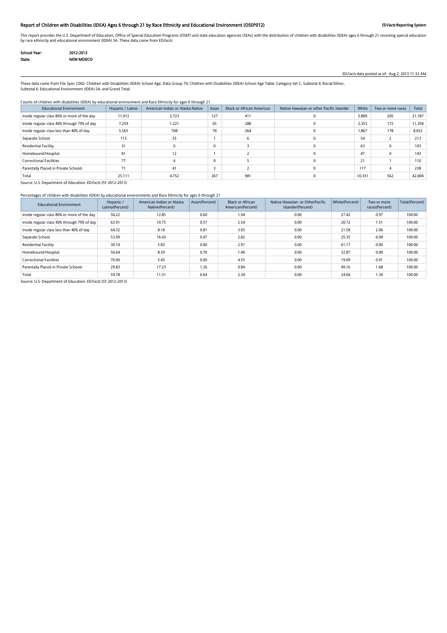#### Report of Children with Disabilities (IDEA) Ages 6 through 21 by Race Ethnicity and Educational Environment (OSEP012) EDFacts Reporting System

This report provides the U.S. Department of Education, Office of Special Education Programs (OSEP) and state education agencies (SEAs) with the distribution of children with disabilities (IDEA) ages 6 through 21 receiving by race ethnicity and educational environment (IDEA) SA. These data come from EDFacts.

| School Year: | 2012-2013         |
|--------------|-------------------|
| State:       | <b>NEW MEXICO</b> |

EDFacts data posted as of: Aug 2, 2013 11:32 AM

These data come from File Spec C002: Children with Disabilities (IDEA) School Age, Data Group 74; Children with Disabilities (IDEA) School Age Table: Category Set C, Subtotal 4; Racial Ethnic, Subtotal 6: Educational Environment (IDEA) SA, and Grand Total.

#### Counts of children with disabilities (IDEA) by educational environment and Race Ethnicity for ages 6 through 21

| <b>Educational Environment</b>              | Hispanic / Latino | American Indian or Alaska Native | Asian        | <b>Black or African American</b> | Native Hawaiian or other Pacific Islander | White  | Two or more races | Total  |
|---------------------------------------------|-------------------|----------------------------------|--------------|----------------------------------|-------------------------------------------|--------|-------------------|--------|
| Inside regular class 80% or more of the day | 11,912            | 2,723                            | 127          | 411                              |                                           | 5,809  | 205               | 21,187 |
| Inside regular class 40% through 79% of day | 7,259             | 1.221                            | 65           | 288                              |                                           | 2,353  | 172               | 11,358 |
| Inside regular class less than 40% of day   | 5,565             | 708                              | 70           | 264                              |                                           | 1.867  | 178               | 8,652  |
| Separate School                             | 115               | 35                               |              |                                  |                                           | 54     |                   | 213    |
| <b>Residential Facility</b>                 |                   |                                  | $\mathbf{0}$ |                                  |                                           | 63     |                   | 103    |
| Homebound/Hospital                          | 81                | 12                               |              |                                  |                                           | 47     |                   | 143    |
| <b>Correctional Facilities</b>              | 77                |                                  | $\mathbf{0}$ |                                  |                                           | 21     |                   | 110    |
| Parentally Placed in Private Schools        | 71                | 41                               |              |                                  |                                           | 117    |                   | 238    |
| Total                                       | 25,111            | 4,752                            | 267          | 981                              |                                           | 10,331 | 562               | 42,004 |

Source: U.S. Department of Education, ED Facts (SY 2012-2013)

#### Percentages of children with disabilities (IDEA) by educational environments and Race Ethnicity for ages 6 through 21

| <b>Educational Environment</b>              | Hispanic /<br>Latino(Percent) | American Indian or Alaska<br>Native(Percent) | Asian(Percent) | <b>Black or African</b><br>American(Percent) | Native Hawaiian or OtherPacific<br>Islander(Percent) | White(Percent) | Two or more<br>races(Percent) | Total(Percent) |
|---------------------------------------------|-------------------------------|----------------------------------------------|----------------|----------------------------------------------|------------------------------------------------------|----------------|-------------------------------|----------------|
| Inside regular class 80% or more of the day | 56.22                         | 12.85                                        | 0.60           | 1.94                                         | 0.00                                                 | 27.42          | 0.97                          | 100.00         |
| Inside regular class 40% through 79% of day | 63.91                         | 10.75                                        | 0.57           | 2.54                                         | 0.00                                                 | 20.72          | 1.51                          | 100.00         |
| Inside regular class less than 40% of day   | 64.32                         | 8.18                                         | 0.81           | 3.05                                         | 0.00                                                 | 21.58          | 2.06                          | 100.00         |
| Separate School                             | 53.99                         | 16.43                                        | 0.47           | 2.82                                         | 0.00                                                 | 25.35          | 0.94                          | 100.00         |
| <b>Residential Facility</b>                 | 30.10                         | 5.83                                         | 0.00           | 2.91                                         | 0.00                                                 | 61.17          | 0.00                          | 100.00         |
| Homebound/Hospital                          | 56.64                         | 8.39                                         | 0.70           | 1.40                                         | 0.00                                                 | 32.87          | 0.00                          | 100.00         |
| <b>Correctional Facilities</b>              | 70.00                         | 5.45                                         | 0.00           | 4.55                                         | 0.00                                                 | 19.09          | 0.91                          | 100.00         |
| Parentally Placed in Private Schools        | 29.83                         | 17.23                                        | 1.26           | 0.84                                         | 0.00                                                 | 49.16          | 1.68                          | 100.00         |
| Total                                       | 59.78                         | 11.31                                        | 0.64           | 2.34                                         | 0.00                                                 | 24.60          | 1.34                          | 100.00         |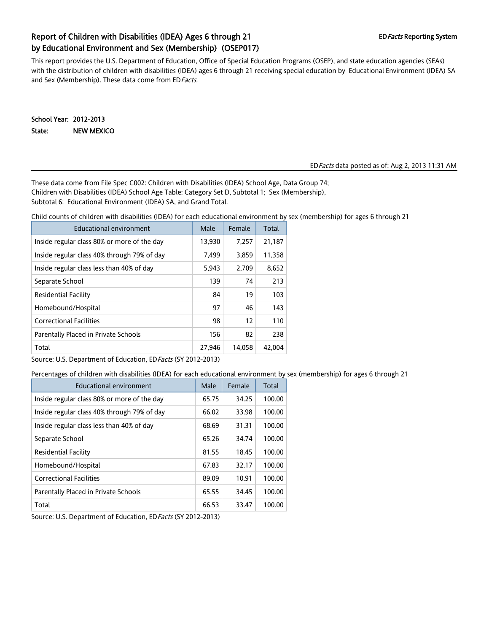## Report of Children with Disabilities (IDEA) Ages 6 through 21 EDFacts Reporting System by Educational Environment and Sex (Membership) (OSEP017)

This report provides the U.S. Department of Education, Office of Special Education Programs (OSEP), and state education agencies (SEAs) with the distribution of children with disabilities (IDEA) ages 6 through 21 receiving special education by Educational Environment (IDEA) SA and Sex (Membership). These data come from ED Facts.

School Year: 2012-2013 State: NEW MEXICO

#### EDFacts data posted as of: Aug 2, 2013 11:31 AM

These data come from File Spec C002: Children with Disabilities (IDEA) School Age, Data Group 74; Children with Disabilities (IDEA) School Age Table: Category Set D, Subtotal 1; Sex (Membership), Subtotal 6: Educational Environment (IDEA) SA, and Grand Total.

Child counts of children with disabilities (IDEA) for each educational environment by sex (membership) for ages 6 through 21

| Educational environment                     | Male   | Female | Total  |
|---------------------------------------------|--------|--------|--------|
| Inside regular class 80% or more of the day | 13,930 | 7,257  | 21,187 |
| Inside regular class 40% through 79% of day | 7.499  | 3,859  | 11,358 |
| Inside regular class less than 40% of day   | 5,943  | 2.709  | 8.652  |
| Separate School                             | 139    | 74     | 213    |
| Residential Facility                        | 84     | 19     | 103    |
| Homebound/Hospital                          | 97     | 46     | 143    |
| <b>Correctional Facilities</b>              | 98     | 12     | 110    |
| Parentally Placed in Private Schools        | 156    | 82     | 238    |
| Total                                       | 27.946 | 14.058 | 42.004 |

Source: U.S. Department of Education, ED Facts (SY 2012-2013)

Percentages of children with disabilities (IDEA) for each educational environment by sex (membership) for ages 6 through 21

| Educational environment                     | Male  | Female | Total  |
|---------------------------------------------|-------|--------|--------|
| Inside regular class 80% or more of the day | 65.75 | 34.25  | 100.00 |
| Inside regular class 40% through 79% of day | 66.02 | 33.98  | 100.00 |
| Inside regular class less than 40% of day   | 68.69 | 31.31  | 100.00 |
| Separate School                             | 65.26 | 34.74  | 100.00 |
| Residential Facility                        | 81.55 | 18.45  | 100.00 |
| Homebound/Hospital                          | 67.83 | 32.17  | 100.00 |
| <b>Correctional Facilities</b>              | 89.09 | 10.91  | 100.00 |
| Parentally Placed in Private Schools        | 65.55 | 34.45  | 100.00 |
| Total                                       | 66.53 | 33.47  | 100.00 |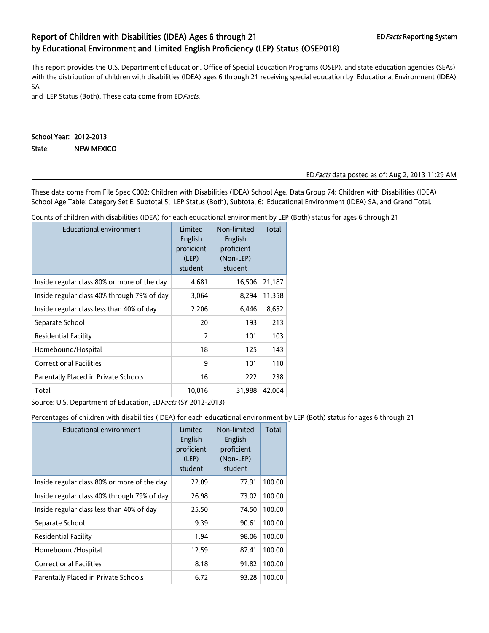## Report of Children with Disabilities (IDEA) Ages 6 through 21 EDFacts Reporting System by Educational Environment and Limited English Proficiency (LEP) Status (OSEP018)

This report provides the U.S. Department of Education, Office of Special Education Programs (OSEP), and state education agencies (SEAs) with the distribution of children with disabilities (IDEA) ages 6 through 21 receiving special education by Educational Environment (IDEA) SA

and LEP Status (Both). These data come from ED Facts.

#### School Year: 2012-2013 State: NEW MEXICO

#### EDFacts data posted as of: Aug 2, 2013 11:29 AM

These data come from File Spec C002: Children with Disabilities (IDEA) School Age, Data Group 74; Children with Disabilities (IDEA) School Age Table: Category Set E, Subtotal 5; LEP Status (Both), Subtotal 6: Educational Environment (IDEA) SA, and Grand Total.

Counts of children with disabilities (IDEA) for each educational environment by LEP (Both) status for ages 6 through 21

| <b>Educational environment</b>              | Limited<br>English<br>proficient<br>(LEP)<br>student | Non-limited<br>English<br>proficient<br>(Non-LEP)<br>student | Total  |
|---------------------------------------------|------------------------------------------------------|--------------------------------------------------------------|--------|
| Inside regular class 80% or more of the day | 4,681                                                | 16,506                                                       | 21,187 |
| Inside regular class 40% through 79% of day | 3,064                                                | 8,294                                                        | 11,358 |
| Inside regular class less than 40% of day   | 2,206                                                | 6,446                                                        | 8,652  |
| Separate School                             | 20                                                   | 193                                                          | 213    |
| <b>Residential Facility</b>                 | $\overline{2}$                                       | 101                                                          | 103    |
| Homebound/Hospital                          | 18                                                   | 125                                                          | 143    |
| <b>Correctional Facilities</b>              | 9                                                    | 101                                                          | 110    |
| Parentally Placed in Private Schools        | 16                                                   | 222                                                          | 238    |
| Total                                       | 10,016                                               | 31,988                                                       | 42,004 |

Source: U.S. Department of Education, ED Facts (SY 2012-2013)

Percentages of children with disabilities (IDEA) for each educational environment by LEP (Both) status for ages 6 through 21

| <b>Educational environment</b>              | Limited<br>English<br>proficient<br>(LEP)<br>student | Non-limited<br>English<br>proficient<br>(Non-LEP)<br>student | Total  |
|---------------------------------------------|------------------------------------------------------|--------------------------------------------------------------|--------|
| Inside regular class 80% or more of the day | 22.09                                                | 77.91                                                        | 100.00 |
| Inside regular class 40% through 79% of day | 26.98                                                | 73.02                                                        | 100.00 |
| Inside regular class less than 40% of day   | 25.50                                                | 74.50                                                        | 100.00 |
| Separate School                             | 9.39                                                 | 90.61                                                        | 100.00 |
| Residential Facility                        | 1.94                                                 | 98.06                                                        | 100.00 |
| Homebound/Hospital                          | 12.59                                                | 87.41                                                        | 100.00 |
| <b>Correctional Facilities</b>              | 8.18                                                 | 91.82                                                        | 100.00 |
| Parentally Placed in Private Schools        | 6.72                                                 | 93.28                                                        | 100.00 |